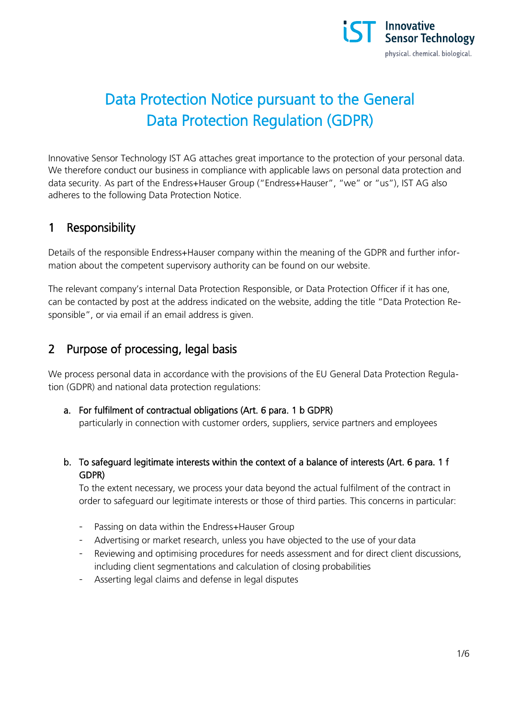

# Data Protection Notice pursuant to the General Data Protection Regulation (GDPR)

Innovative Sensor Technology IST AG attaches great importance to the protection of your personal data. We therefore conduct our business in compliance with applicable laws on personal data protection and data security. As part of the Endress+Hauser Group ("Endress+Hauser", "we" or "us"), IST AG also adheres to the following Data Protection Notice.

### 1 Responsibility

Details of the responsible Endress+Hauser company within the meaning of the GDPR and further information about the competent supervisory authority can be found on our website.

The relevant company's internal Data Protection Responsible, or Data Protection Officer if it has one, can be contacted by post at the address indicated on the website, adding the title "Data Protection Responsible", or via email if an email address is given.

#### 2 Purpose of processing, legal basis

We process personal data in accordance with the provisions of the EU General Data Protection Regulation (GDPR) and national data protection regulations:

a. For fulfilment of contractual obligations (Art. 6 para. 1 b GDPR)

particularly in connection with customer orders, suppliers, service partners and employees

b. To safeguard legitimate interests within the context of a balance of interests (Art. 6 para. 1 f GDPR)

To the extent necessary, we process your data beyond the actual fulfilment of the contract in order to safeguard our legitimate interests or those of third parties. This concerns in particular:

- Passing on data within the Endress+Hauser Group
- Advertising or market research, unless you have objected to the use of your data
- Reviewing and optimising procedures for needs assessment and for direct client discussions, including client segmentations and calculation of closing probabilities
- Asserting legal claims and defense in legal disputes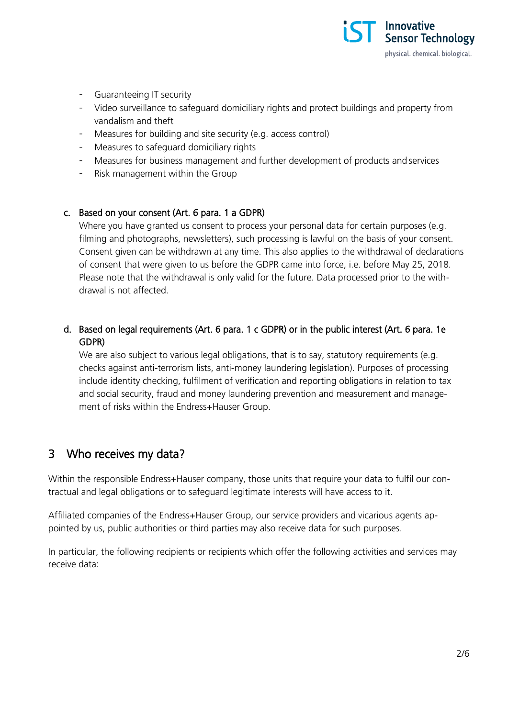

- Guaranteeing IT security
- Video surveillance to safeguard domiciliary rights and protect buildings and property from vandalism and theft
- Measures for building and site security (e.g. access control)
- Measures to safeguard domiciliary rights
- Measures for business management and further development of products and services
- Risk management within the Group

#### c. Based on your consent (Art. 6 para. 1 a GDPR)

Where you have granted us consent to process your personal data for certain purposes (e.g. filming and photographs, newsletters), such processing is lawful on the basis of your consent. Consent given can be withdrawn at any time. This also applies to the withdrawal of declarations of consent that were given to us before the GDPR came into force, i.e. before May 25, 2018. Please note that the withdrawal is only valid for the future. Data processed prior to the withdrawal is not affected.

#### d. Based on legal requirements (Art. 6 para. 1 c GDPR) or in the public interest (Art. 6 para. 1e GDPR)

We are also subject to various legal obligations, that is to say, statutory requirements (e.g. checks against anti-terrorism lists, anti-money laundering legislation). Purposes of processing include identity checking, fulfilment of verification and reporting obligations in relation to tax and social security, fraud and money laundering prevention and measurement and management of risks within the Endress+Hauser Group.

#### 3 Who receives my data?

Within the responsible Endress+Hauser company, those units that require your data to fulfil our contractual and legal obligations or to safeguard legitimate interests will have access to it.

Affiliated companies of the Endress+Hauser Group, our service providers and vicarious agents appointed by us, public authorities or third parties may also receive data for such purposes.

In particular, the following recipients or recipients which offer the following activities and services may receive data: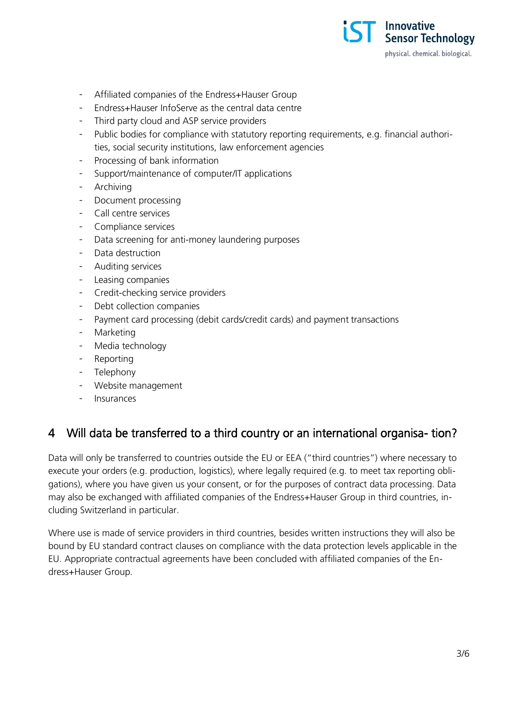

- Affiliated companies of the Endress+Hauser Group
- Endress+Hauser InfoServe as the central data centre
- Third party cloud and ASP service providers
- Public bodies for compliance with statutory reporting requirements, e.g. financial authorities, social security institutions, law enforcement agencies
- Processing of bank information
- Support/maintenance of computer/IT applications
- **Archiving**
- Document processing
- Call centre services
- Compliance services
- Data screening for anti-money laundering purposes
- Data destruction
- Auditing services
- Leasing companies
- Credit-checking service providers
- Debt collection companies
- Payment card processing (debit cards/credit cards) and payment transactions
- Marketing
- Media technology
- **Reporting**
- **Telephony**
- Website management
- Insurances

#### 4 Will data be transferred to a third country or an international organisa- tion?

Data will only be transferred to countries outside the EU or EEA ("third countries") where necessary to execute your orders (e.g. production, logistics), where legally required (e.g. to meet tax reporting obligations), where you have given us your consent, or for the purposes of contract data processing. Data may also be exchanged with affiliated companies of the Endress+Hauser Group in third countries, including Switzerland in particular.

Where use is made of service providers in third countries, besides written instructions they will also be bound by EU standard contract clauses on compliance with the data protection levels applicable in the EU. Appropriate contractual agreements have been concluded with affiliated companies of the Endress+Hauser Group.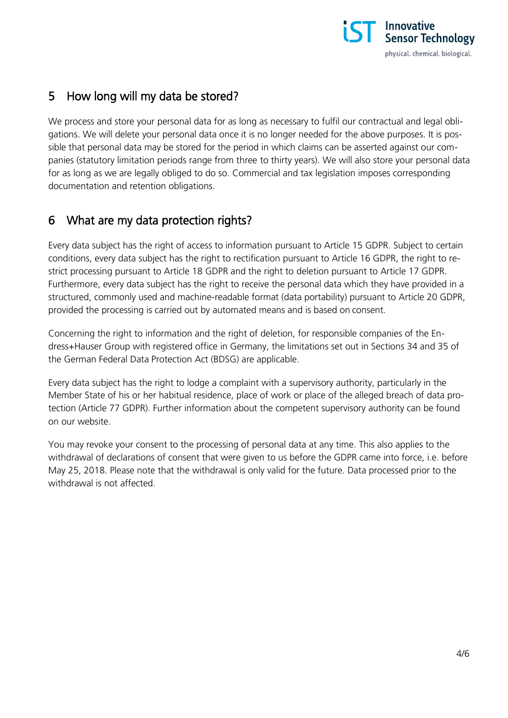

### 5 How long will my data be stored?

We process and store your personal data for as long as necessary to fulfil our contractual and legal obligations. We will delete your personal data once it is no longer needed for the above purposes. It is possible that personal data may be stored for the period in which claims can be asserted against our companies (statutory limitation periods range from three to thirty years). We will also store your personal data for as long as we are legally obliged to do so. Commercial and tax legislation imposes corresponding documentation and retention obligations.

### 6 What are my data protection rights?

Every data subject has the right of access to information pursuant to Article 15 GDPR. Subject to certain conditions, every data subject has the right to rectification pursuant to Article 16 GDPR, the right to restrict processing pursuant to Article 18 GDPR and the right to deletion pursuant to Article 17 GDPR. Furthermore, every data subject has the right to receive the personal data which they have provided in a structured, commonly used and machine-readable format (data portability) pursuant to Article 20 GDPR, provided the processing is carried out by automated means and is based on consent.

Concerning the right to information and the right of deletion, for responsible companies of the Endress+Hauser Group with registered office in Germany, the limitations set out in Sections 34 and 35 of the German Federal Data Protection Act (BDSG) are applicable.

Every data subject has the right to lodge a complaint with a supervisory authority, particularly in the Member State of his or her habitual residence, place of work or place of the alleged breach of data protection (Article 77 GDPR). Further information about the competent supervisory authority can be found on our website.

You may revoke your consent to the processing of personal data at any time. This also applies to the withdrawal of declarations of consent that were given to us before the GDPR came into force, i.e. before May 25, 2018. Please note that the withdrawal is only valid for the future. Data processed prior to the withdrawal is not affected.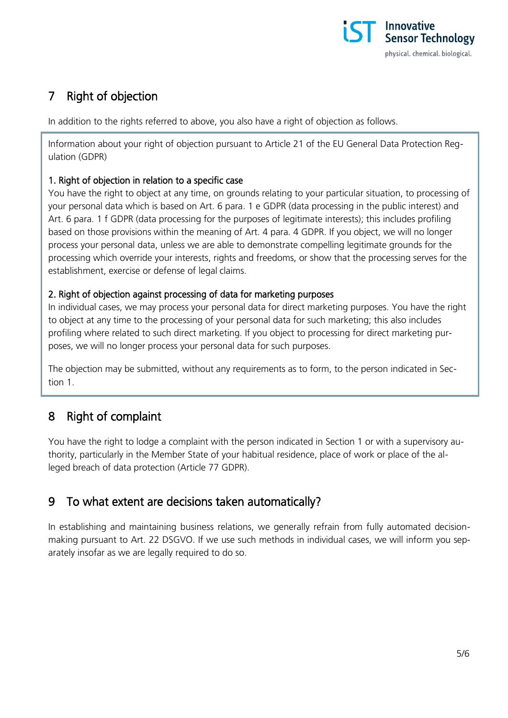

# 7 Right of objection

In addition to the rights referred to above, you also have a right of objection as follows.

Information about your right of objection pursuant to Article 21 of the EU General Data Protection Regulation (GDPR)

#### 1. Right of objection in relation to a specific case

You have the right to object at any time, on grounds relating to your particular situation, to processing of your personal data which is based on Art. 6 para. 1 e GDPR (data processing in the public interest) and Art. 6 para. 1 f GDPR (data processing for the purposes of legitimate interests); this includes profiling based on those provisions within the meaning of Art. 4 para. 4 GDPR. If you object, we will no longer process your personal data, unless we are able to demonstrate compelling legitimate grounds for the processing which override your interests, rights and freedoms, or show that the processing serves for the establishment, exercise or defense of legal claims.

#### 2. Right of objection against processing of data for marketing purposes

In individual cases, we may process your personal data for direct marketing purposes. You have the right to object at any time to the processing of your personal data for such marketing; this also includes profiling where related to such direct marketing. If you object to processing for direct marketing purposes, we will no longer process your personal data for such purposes.

The objection may be submitted, without any requirements as to form, to the person indicated in Section 1.

## 8 Right of complaint

You have the right to lodge a complaint with the person indicated in Section 1 or with a supervisory authority, particularly in the Member State of your habitual residence, place of work or place of the alleged breach of data protection (Article 77 GDPR).

## 9 To what extent are decisions taken automatically?

In establishing and maintaining business relations, we generally refrain from fully automated decisionmaking pursuant to Art. 22 DSGVO. If we use such methods in individual cases, we will inform you separately insofar as we are legally required to do so.